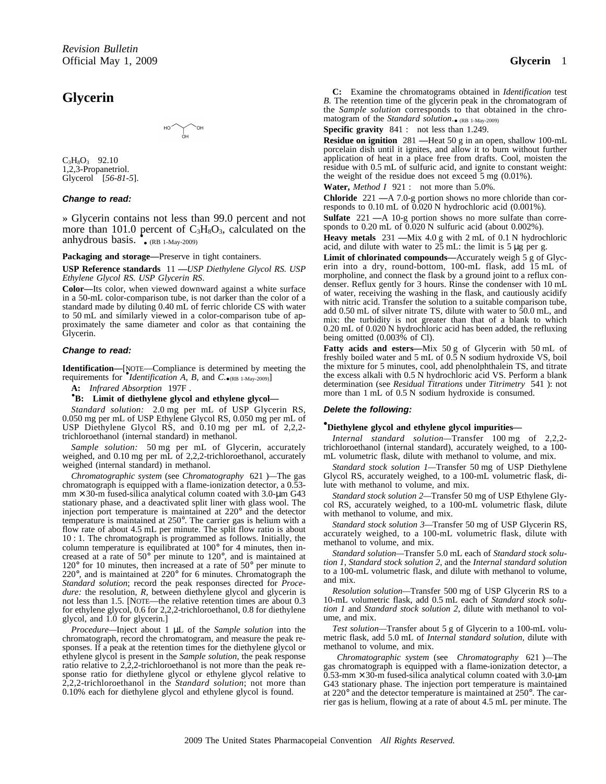» Glycerin contains not less than 99.0 percent and not<br>more than 101.0 percent of C<sub>2</sub>H<sub>2</sub>O<sub>2</sub> calculated on the sponds to 0.20 mL of 0.020 N sulfuric acid (about 0.002%). more than 101.0 percent of  $C_3H_8O_3$ , calculated on the anhydrous basis.  $\bullet$  (RB 1-May-2009).

*Standard solution:* 2.0 mg per mL of USP Glycerin RS, **Delete the following:** 0.050 mg per mL of USP Ethylene Glycol RS, 0.050 mg per mL of USP Diethylene Glycol RS, and 0.10 mg per mL of 2,2,2-<br>trichloroethanol (internal standard) in methanol.<br>*Internal standard solution*—Transfer 100 mg

weighed, and 0.10 mg per mL of 2,2,2-trichloroethanol, accurately

chromatograph is equipped with a flame-ionization detector, a 0.53-<br>m fused-silica analytical column coated with 3.0-um G43 <br>Standard stock solution 2—Transfer 50 mm  $\times$  30-m fused-silica analytical column coated with 3.0-µm G43<br>stationary phase, and a deactivated split liner with glass wool. The<br>injection port temperature is maintained at 220° and the detector<br>temperature is main *dure:* the resolution, *R*, between diethylene glycol and glycerin is *Resolution solution*—Transfer 500 mg of USP Glycerin RS to a not less than 1.5. [NOTE—the relative retention times are about 0.3 10-mL volumetric flas not less than 1.5. [NOTE—the relative retention times are about 0.3 10-mL volumetric flask, add 0.5 mL each of *Standard stock solution* 2, the methanol to vol-<br>for ethylene glycol, 0.6 for 2.2.2-trichloroethanol, 0.8 for for ethylene glycol, 0.6 for 2,2,2-trichloroethanol, 0.8 for diethylene *tion 1* and *Standard stock solution* 1.0 for glycorin 1 glycol, and  $\overline{1.0}$  for glycerin.

chromatograph, record the chromatogram, and measure the peak re-<br>sponses. If a peak at the retention times for the diethylene glycol or methanol to volume, and mix. sponses. If a peak at the retention times for the diethylene glycol or ethylene glycol is present in the *Sample solution*, the peak response<br>ratio relative to 2,2,2-trichloroethanol is not more than the peak re-<br>gas chromatograph is equipped with a flame-ionization detector, a ratio relative to 2,2,2-trichloroethanol is not more than the peak re-<br>sponse ratio for diethylene glycol or ethylene glycol relative to 0.53-mm × 30-m fused-silica analytical column coated with 3.0-µm

**C:** Examine the chromatograms obtained in *Identification* test **B**. The retention time of the glycerin peak in the chromatogram of the *Sample solution* corresponds to that obtained in the chromatogram of the *Standard solution*. • (RB 1-May-2009)

**Specific gravity**  $\langle 841 \rangle$ : not less than 1.249.

**Residue on ignition**  $\langle 281 \rangle$ **—Heat 50 g in an open, shallow 100-mL** porcelain dish until it ignites, and allow it to burn without further  $C_3H_8O_3$  92.10 application of heat in a place free from drafts. Cool, moisten the 1,2,3-Propanetriol.<br>
1,2,3-Propanetriol.<br>
Glycerol [56-81-5]. the weight of the residue does not exceed 5 mg (0.01%). the weight of the residue does not exceed 5 mg (0.01%).

**Water,** *Method I*  $\langle 921 \rangle$ : not more than 5.0%

**Change to read: Chloride**  $(221)$ —A 7.0-g portion shows no more chloride than corresponds to 0.10 mL of 0.020 N hydrochloric acid (0.001%).

**Heavy metals**  $\langle 231 \rangle$ **—Mix 4.0 g with 2 mL of 0.1 N hydrochloric** acid, and dilute with water to  $25$  mL: the limit is  $5 \mu g$  per g.

**Packaging and storage—**Preserve in tight containers. **Limit of chlorinated compounds—**Accurately weigh 5 g of Glyc-USP Reference standards  $\langle 11 \rangle$ —USP Diethylene Glycol RS. USP<br>Ethylene Glycol and connect the flask by a ground joint to a reflux con-<br>Ethylene Glycol RS. USP Glycerin RS. Ethylene Glycol RS. USP Glycerin RS.<br>
Color—Its color, when viewed downward against a white surface<br>
in a 50-mL color-comparison tube, is not darker than the color of a<br>
standard made by diluting 0.40 mL of ferric chloride

**Change to read: Fatty acids and esters**—Mix 50 g of Glycerin with 50 mL of treshly boiled water and 5 mL of 0.5 N sodium hydroxide VS, boil **Identification**—[NOTE—Compliance is determined by meeting the the mixture for 5 minutes, cool, add phenolphthalein TS, and titrate requirements for *Identification A, B,* and *C*. e<sub>(RB 1</sub>-May-2009)] the excess alkali wit **A:** Infrared Absorption  $\langle 197F \rangle$ .<br> **A:** Infrared Absorption  $\langle 197F \rangle$ .<br> **B:** Limit of diethylene glycol and ethylene glycol—<br> **B:** Limit of diethylene glycol and ethylene glycol—<br> **B:** Limit of diethylene glycol and

chloroethanol (internal standard) in methanol. *Internal standard solution*—Transfer 100 mg of 2,2,2-<br>Sample solution: 50 mg per mL of Glycerin, accurately trichloroethanol (internal standard), accurately weighed, to a 100 *trichloroethanol (internal standard), accurately weighed, to a 100-mL volumetric flask, dilute with methanol to volume, and mix.* 

weighed (internal standard) in methanol.<br>*Chromatographic system* (see *Chromatography*  $(621)$ )—The gas Glycol RS, accurately weighed, to a 100-mL volumetric flask, di-*Chycol RS, accurately weighed, to a 100-mL volumetric flask, di-*

*Procedure—*Inject about 1 µL of the *Sample solution* into the *Test solution—*Transfer about 5 g of Glycerin to a 100-mL volu-<br>romatograph, record the chromatogram, and measure the peak re-<br>metric flask, add 5.0 mL of *I* 

sponse ratio for diethylene glycol or ethylene glycol relative to  $\overline{0.53}$ -mm × 30-m fused-silica analytical column coated with 3.0-µm 2,2,2-trichloroethanol in the *Standard solution*; not more than  $\frac{G43}{43}$  stati rier gas is helium, flowing at a rate of about 4.5 mL per minute. The